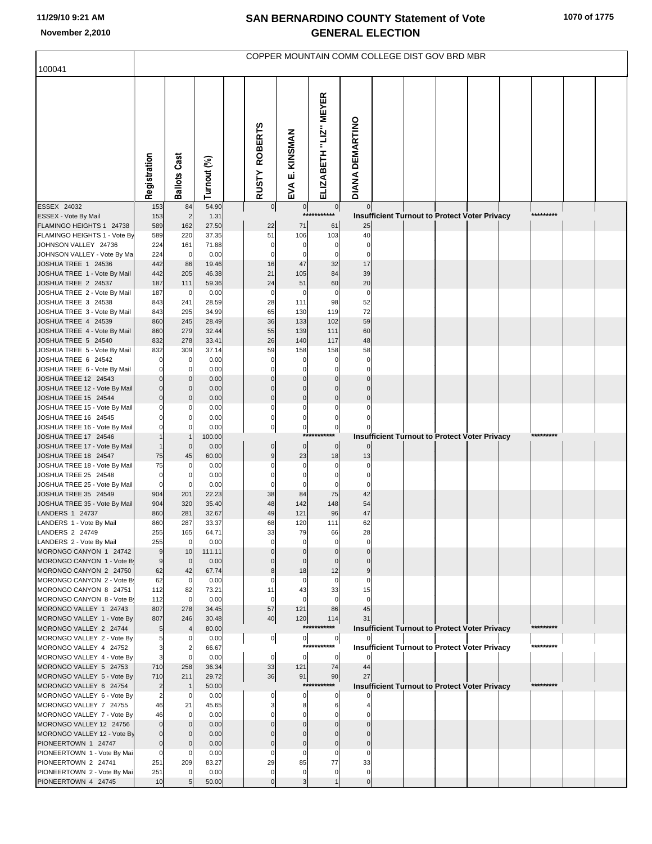## **SAN BERNARDINO COUNTY Statement of Vote November 2,2010 GENERAL ELECTION**

| 100041                                                | COPPER MOUNTAIN COMM COLLEGE DIST GOV BRD MBR |                       |                |  |                                |                          |                               |                             |                                                      |  |  |  |  |           |  |
|-------------------------------------------------------|-----------------------------------------------|-----------------------|----------------|--|--------------------------------|--------------------------|-------------------------------|-----------------------------|------------------------------------------------------|--|--|--|--|-----------|--|
|                                                       |                                               |                       |                |  |                                |                          |                               |                             |                                                      |  |  |  |  |           |  |
|                                                       | Registration                                  | <b>Ballots Cast</b>   | Turnout (%)    |  | <b>ROBERTS</b><br><b>RUSTY</b> | KINSMAN<br>цj<br>EVA     | ELIZABETH "LIZ" MEYER         | DIANA DEMARTINO             |                                                      |  |  |  |  |           |  |
| ESSEX 24032                                           | 153                                           | 84                    | 54.90          |  | $\overline{0}$                 | $\overline{0}$           | $\circ$                       |                             |                                                      |  |  |  |  | ********* |  |
| ESSEX - Vote By Mail<br>FLAMINGO HEIGHTS 1 24738      | 153<br>589                                    | $\overline{2}$<br>162 | 1.31<br>27.50  |  | 22                             | 71                       | 61                            | 25                          | Insufficient Turnout to Protect Voter Privacy        |  |  |  |  |           |  |
| FLAMINGO HEIGHTS 1 - Vote By                          | 589                                           | 220                   | 37.35          |  | 51                             | 106                      | 103                           | 40                          |                                                      |  |  |  |  |           |  |
| JOHNSON VALLEY 24736                                  | 224                                           | 161                   | 71.88          |  | $\mathbf 0$                    | $\mathbf 0$              | $\mathbf 0$                   | $\overline{0}$              |                                                      |  |  |  |  |           |  |
| JOHNSON VALLEY - Vote By Ma                           | 224                                           | $\mathbf 0$           | 0.00           |  | $\Omega$                       | $\mathbf 0$              | $\Omega$<br>32                | $\mathbf 0$<br>17           |                                                      |  |  |  |  |           |  |
| JOSHUA TREE 1 24536<br>JOSHUA TREE 1 - Vote By Mail   | 442<br>442                                    | 86<br>205             | 19.46<br>46.38 |  | 16<br>21                       | 47<br>105                | 84                            | 39                          |                                                      |  |  |  |  |           |  |
| JOSHUA TREE 2 24537                                   | 187                                           | 111                   | 59.36          |  | 24                             | 51                       | 60                            | 20                          |                                                      |  |  |  |  |           |  |
| JOSHUA TREE 2 - Vote By Mail                          | 187                                           | $\mathbf 0$           | 0.00           |  | $\mathbf 0$                    | $\mathbf 0$              | $\overline{0}$                | $\mathbf 0$                 |                                                      |  |  |  |  |           |  |
| JOSHUA TREE 3 24538                                   | 843                                           | 241                   | 28.59          |  | 28                             | 111                      | 98                            | 52                          |                                                      |  |  |  |  |           |  |
| JOSHUA TREE 3 - Vote By Mail<br>JOSHUA TREE 4 24539   | 843<br>860                                    | 295<br>245            | 34.99<br>28.49 |  | 65<br>36                       | 130<br>133               | 119<br>102                    | 72<br>59                    |                                                      |  |  |  |  |           |  |
| JOSHUA TREE 4 - Vote By Mail                          | 860                                           | 279                   | 32.44          |  | 55                             | 139                      | 111                           | 60                          |                                                      |  |  |  |  |           |  |
| JOSHUA TREE 5 24540                                   | 832                                           | 278                   | 33.41          |  | 26                             | 140                      | 117                           | 48                          |                                                      |  |  |  |  |           |  |
| JOSHUA TREE 5 - Vote By Mail                          | 832                                           | 309                   | 37.14          |  | 59                             | 158                      | 158                           | 58                          |                                                      |  |  |  |  |           |  |
| JOSHUA TREE 6 24542<br>JOSHUA TREE 6 - Vote By Mail   | $\mathbf 0$<br>$\mathbf 0$                    | $\mathbf 0$<br>0      | 0.00<br>0.00   |  | $\Omega$<br>$\mathcal{C}$      | $\mathbf 0$<br>$\Omega$  |                               | $\mathbf{0}$<br>$\mathbf 0$ |                                                      |  |  |  |  |           |  |
| JOSHUA TREE 12 24543                                  | $\mathbf 0$                                   | $\mathbf 0$           | 0.00           |  | $\Omega$                       | $\mathbf 0$              | $\Omega$                      | $\overline{0}$              |                                                      |  |  |  |  |           |  |
| JOSHUA TREE 12 - Vote By Mail                         | $\mathbf 0$                                   | $\mathbf 0$           | 0.00           |  | $\Omega$                       | $\mathbf 0$              | $\Omega$                      | $\overline{0}$              |                                                      |  |  |  |  |           |  |
| JOSHUA TREE 15 24544                                  | $\mathbf 0$                                   | $\mathbf 0$           | 0.00           |  | $\Omega$                       | $\mathbf 0$              | $\mathbf 0$                   | $\mathbf{0}$                |                                                      |  |  |  |  |           |  |
| JOSHUA TREE 15 - Vote By Mail<br>JOSHUA TREE 16 24545 | $\Omega$<br>$\Omega$                          | 0<br>0                | 0.00<br>0.00   |  | $\Omega$<br>$\mathbf 0$        | $\Omega$<br>$\mathbf 0$  | $\mathbf 0$                   |                             |                                                      |  |  |  |  |           |  |
| JOSHUA TREE 16 - Vote By Mail                         | $\Omega$                                      |                       | 0.00           |  | $\pmb{0}$                      | $\mathbf{0}$             | $\mathbf 0$                   |                             |                                                      |  |  |  |  |           |  |
| JOSHUA TREE 17 24546                                  |                                               |                       | 100.00         |  |                                |                          | ***********                   |                             | Insufficient Turnout to Protect Voter Privacy        |  |  |  |  | ********* |  |
| JOSHUA TREE 17 - Vote By Mail                         |                                               | $\mathbf 0$           | 0.00           |  | $\mathbf 0$                    | $\overline{0}$           | $\overline{0}$                | $\Omega$                    |                                                      |  |  |  |  |           |  |
| JOSHUA TREE 18 24547<br>JOSHUA TREE 18 - Vote By Mail | 75<br>75                                      | 45<br>0               | 60.00<br>0.00  |  | 9                              | 23<br>$\mathbf 0$        | 18<br>$\mathbf 0$             | 13<br>$\mathbf 0$           |                                                      |  |  |  |  |           |  |
| JOSHUA TREE 25 24548                                  | $\mathbf 0$                                   | 0                     | 0.00           |  |                                | $\Omega$                 | $\Omega$                      | $\mathbf 0$                 |                                                      |  |  |  |  |           |  |
| JOSHUA TREE 25 - Vote By Mail                         | $\mathbf 0$                                   | $\mathbf 0$           | 0.00           |  | $\Omega$                       | $\Omega$                 | $\Omega$                      | $\mathbf 0$                 |                                                      |  |  |  |  |           |  |
| JOSHUA TREE 35 24549                                  | 904                                           | 201                   | 22.23          |  | 38                             | 84                       | 75                            | 42                          |                                                      |  |  |  |  |           |  |
| JOSHUA TREE 35 - Vote By Mail<br>LANDERS 1 24737      | 904<br>860                                    | 320<br>281            | 35.40<br>32.67 |  | 48<br>49                       | 142<br>121               | 148<br>96                     | 54<br>47                    |                                                      |  |  |  |  |           |  |
| LANDERS 1 - Vote By Mail                              | 860                                           | 287                   | 33.37          |  | 68                             | 120                      | 111                           | 62                          |                                                      |  |  |  |  |           |  |
| LANDERS 2 24749                                       | 255                                           | 165                   | 64.71          |  | 33                             | 79                       | 66                            | 28                          |                                                      |  |  |  |  |           |  |
| LANDERS 2 - Vote By Mail                              | 255                                           | $\mathbf 0$           | 0.00           |  | $\Omega$                       | $\mathbf 0$              | $\mathbf 0$                   | $\mathbf 0$                 |                                                      |  |  |  |  |           |  |
| MORONGO CANYON 1 24742<br>MORONGO CANYON 1 - Vote B   | $9$<br>9                                      | 10<br>$\mathbf 0$     | 111.11<br>0.00 |  |                                | $\mathbf{0}$<br>$\Omega$ |                               |                             |                                                      |  |  |  |  |           |  |
| MORONGO CANYON 2 24750                                | 62                                            | 42                    | 67.74          |  |                                | 18                       | 12                            |                             |                                                      |  |  |  |  |           |  |
| MORONGO CANYON 2 - Vote B                             | 62                                            | 0                     | 0.00           |  |                                | $\mathbf 0$              | $\mathbf 0$                   | 0                           |                                                      |  |  |  |  |           |  |
| MORONGO CANYON 8 24751<br>MORONGO CANYON 8 - Vote B   | 112<br>112                                    | 82<br>$\mathbf 0$     | 73.21<br>0.00  |  | 11<br>$\Omega$                 | 43<br>$\Omega$           | 33<br>$\Omega$                | 15<br>$\Omega$              |                                                      |  |  |  |  |           |  |
| MORONGO VALLEY 1 24743                                | 807                                           | 278                   | 34.45          |  | 57                             | 121                      | 86                            | 45                          |                                                      |  |  |  |  |           |  |
| MORONGO VALLEY 1 - Vote By                            | 807                                           | 246                   | 30.48          |  | 40                             | 120                      | 114                           | 31                          |                                                      |  |  |  |  |           |  |
| MORONGO VALLEY 2 24744                                | 5                                             |                       | 80.00          |  |                                |                          | ***********                   |                             | <b>Insufficient Turnout to Protect Voter Privacy</b> |  |  |  |  | ********* |  |
| MORONGO VALLEY 2 - Vote By<br>MORONGO VALLEY 4 24752  | 3                                             | 0<br>2                | 0.00<br>66.67  |  | $\overline{0}$                 | $\overline{0}$           | $\overline{0}$<br>*********** |                             | <b>Insufficient Turnout to Protect Voter Privacy</b> |  |  |  |  | ********* |  |
| MORONGO VALLEY 4 - Vote By                            | 3                                             | $\Omega$              | 0.00           |  | $\mathbf 0$                    | $\overline{0}$           | $\overline{0}$                | $\Omega$                    |                                                      |  |  |  |  |           |  |
| MORONGO VALLEY 5 24753                                | 710                                           | 258                   | 36.34          |  | 33                             | 121                      | 74                            | 44                          |                                                      |  |  |  |  |           |  |
| MORONGO VALLEY 5 - Vote By                            | 710                                           | 211                   | 29.72          |  | 36                             | 91                       | 90                            | 27                          |                                                      |  |  |  |  |           |  |
| MORONGO VALLEY 6 24754<br>MORONGO VALLEY 6 - Vote By  | $\overline{c}$<br>$\overline{2}$              | 0                     | 50.00<br>0.00  |  |                                | $\Omega$                 | ***********<br>$\mathbf 0$    |                             | <b>Insufficient Turnout to Protect Voter Privacy</b> |  |  |  |  | ********* |  |
| MORONGO VALLEY 7 24755                                | 46                                            | 21                    | 45.65          |  |                                | 8                        |                               |                             |                                                      |  |  |  |  |           |  |
| MORONGO VALLEY 7 - Vote By                            | 46                                            | 0                     | 0.00           |  |                                |                          |                               |                             |                                                      |  |  |  |  |           |  |
| MORONGO VALLEY 12 24756                               | $\mathbf 0$                                   | $\Omega$              | 0.00           |  |                                | $\mathbf{0}$             |                               |                             |                                                      |  |  |  |  |           |  |
| MORONGO VALLEY 12 - Vote By<br>PIONEERTOWN 1 24747    | $\mathbf 0$<br>$\mathbf 0$                    |                       | 0.00<br>0.00   |  |                                | $\mathbf 0$              | $\Omega$                      | $\mathbf{0}$                |                                                      |  |  |  |  |           |  |
| PIONEERTOWN 1 - Vote By Mai                           | 0                                             | $\Omega$              | 0.00           |  |                                | $\mathbf 0$              |                               |                             |                                                      |  |  |  |  |           |  |
| PIONEERTOWN 2 24741                                   | 251                                           | 209                   | 83.27          |  | 29                             | 85                       | 77                            | 33                          |                                                      |  |  |  |  |           |  |
| PIONEERTOWN 2 - Vote By Mai                           | 251                                           |                       | 0.00           |  | $\mathbf 0$                    | $\mathbf 0$              | $\mathbf 0$                   | $\mathbf{0}$                |                                                      |  |  |  |  |           |  |
| PIONEERTOWN 4 24745                                   | 10                                            | 5                     | 50.00          |  | $\Omega$                       | 3                        | $\overline{1}$                | $\overline{0}$              |                                                      |  |  |  |  |           |  |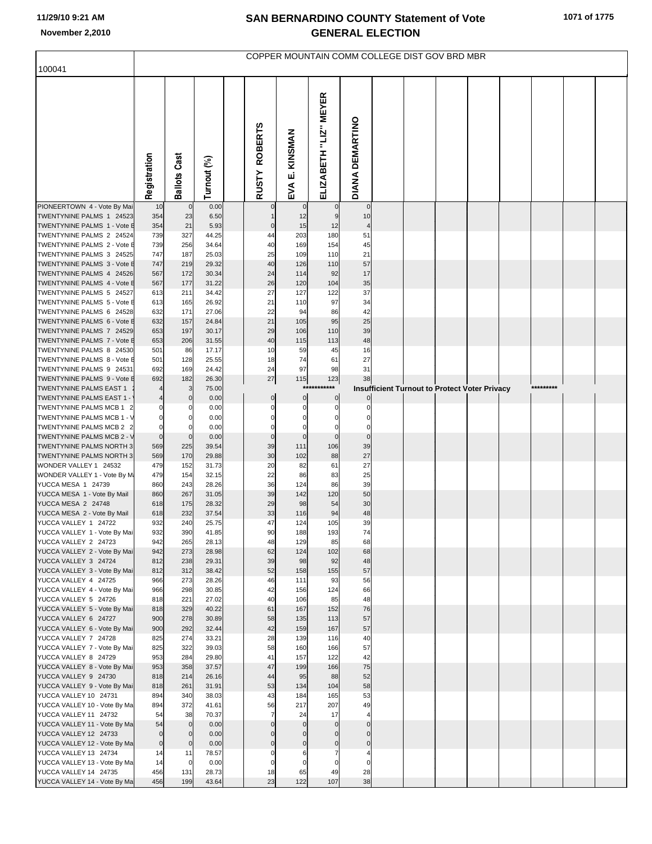## **SAN BERNARDINO COUNTY Statement of Vote November 2,2010 GENERAL ELECTION**

| 100041                                                  | COPPER MOUNTAIN COMM COLLEGE DIST GOV BRD MBR |                       |                |  |                               |                             |                         |                                      |  |  |  |                                                      |  |           |  |
|---------------------------------------------------------|-----------------------------------------------|-----------------------|----------------|--|-------------------------------|-----------------------------|-------------------------|--------------------------------------|--|--|--|------------------------------------------------------|--|-----------|--|
|                                                         |                                               |                       |                |  |                               |                             |                         |                                      |  |  |  |                                                      |  |           |  |
|                                                         |                                               |                       |                |  |                               |                             |                         |                                      |  |  |  |                                                      |  |           |  |
|                                                         |                                               |                       |                |  |                               |                             | ELIZABETH "LIZ" MEYER   |                                      |  |  |  |                                                      |  |           |  |
|                                                         |                                               |                       |                |  |                               |                             |                         |                                      |  |  |  |                                                      |  |           |  |
|                                                         |                                               |                       |                |  | <b>ROBERTS</b>                |                             |                         |                                      |  |  |  |                                                      |  |           |  |
|                                                         |                                               |                       |                |  |                               |                             |                         |                                      |  |  |  |                                                      |  |           |  |
|                                                         |                                               |                       |                |  |                               | KINSMAN                     |                         |                                      |  |  |  |                                                      |  |           |  |
|                                                         |                                               |                       |                |  |                               | ші                          |                         |                                      |  |  |  |                                                      |  |           |  |
|                                                         | Registration                                  | <b>Ballots Cast</b>   | Turnout (%)    |  | <b>RUSTY</b>                  | EVA                         |                         | DIANA DEMARTINO                      |  |  |  |                                                      |  |           |  |
| PIONEERTOWN 4 - Vote By Mai                             | 10                                            | $\mathbf 0$           | 0.00           |  | $\mathbf 0$                   |                             | $\mathbf 0$             | $\mathbf 0$                          |  |  |  |                                                      |  |           |  |
| TWENTYNINE PALMS 1 24523                                | 354                                           | 23                    | 6.50           |  | $\mathbf{1}$                  | 12                          | 9                       | 10                                   |  |  |  |                                                      |  |           |  |
| TWENTYNINE PALMS 1 - Vote E                             | 354                                           | 21                    | 5.93           |  | $\mathbf 0$                   | 15<br>203                   | 12                      | $\overline{4}$                       |  |  |  |                                                      |  |           |  |
| TWENTYNINE PALMS 2 24524<br>TWENTYNINE PALMS 2 - Vote E | 739<br>739                                    | 327<br>256            | 44.25<br>34.64 |  | 44<br>40                      | 169                         | 180<br>154              | 51<br>45                             |  |  |  |                                                      |  |           |  |
| TWENTYNINE PALMS 3 24525                                | 747                                           | 187                   | 25.03          |  | 25                            | 109                         | 110                     | 21                                   |  |  |  |                                                      |  |           |  |
| TWENTYNINE PALMS 3 - Vote E                             | 747                                           | 219                   | 29.32          |  | 40                            | 126                         | 110                     | 57                                   |  |  |  |                                                      |  |           |  |
| TWENTYNINE PALMS 4 24526<br>TWENTYNINE PALMS 4 - Vote E | 567<br>567                                    | 172<br>177            | 30.34<br>31.22 |  | 24<br>26                      | 114<br>120                  | 92<br>104               | 17<br>35                             |  |  |  |                                                      |  |           |  |
| TWENTYNINE PALMS 5 24527                                | 613                                           | 211                   | 34.42          |  | 27                            | 127                         | 122                     | 37                                   |  |  |  |                                                      |  |           |  |
| TWENTYNINE PALMS 5 - Vote E                             | 613                                           | 165                   | 26.92          |  | 21                            | 110                         | 97                      | 34                                   |  |  |  |                                                      |  |           |  |
| TWENTYNINE PALMS 6 24528                                | 632                                           | 171                   | 27.06          |  | 22                            | 94                          | 86                      | 42                                   |  |  |  |                                                      |  |           |  |
| TWENTYNINE PALMS 6 - Vote E                             | 632                                           | 157                   | 24.84          |  | 21                            | 105                         | 95                      | 25                                   |  |  |  |                                                      |  |           |  |
| TWENTYNINE PALMS 7 24529<br>TWENTYNINE PALMS 7 - Vote E | 653<br>653                                    | 197<br>206            | 30.17<br>31.55 |  | 29<br>40                      | 106<br>115                  | 110<br>113              | 39<br>48                             |  |  |  |                                                      |  |           |  |
| TWENTYNINE PALMS 8 24530                                | 501                                           | 86                    | 17.17          |  | 10                            | 59                          | 45                      | 16                                   |  |  |  |                                                      |  |           |  |
| TWENTYNINE PALMS 8 - Vote E                             | 501                                           | 128                   | 25.55          |  | 18                            | 74                          | 61                      | 27                                   |  |  |  |                                                      |  |           |  |
| TWENTYNINE PALMS 9 24531                                | 692                                           | 169                   | 24.42          |  | 24                            | 97                          | 98                      | 31                                   |  |  |  |                                                      |  |           |  |
| TWENTYNINE PALMS 9 - Vote E<br>TWENTYNINE PALMS EAST 1  | 692                                           | 182<br>3              | 26.30<br>75.00 |  | $27\,$                        | 115<br>***                  | 123<br>***              | 38                                   |  |  |  | <b>Insufficient Turnout to Protect Voter Privacy</b> |  | ********* |  |
| TWENTYNINE PALMS EAST 1 -                               |                                               | $\mathbf{0}$          | 0.00           |  | $\overline{0}$                | $\mathbf 0$                 | $\pmb{0}$               | 0                                    |  |  |  |                                                      |  |           |  |
| TWENTYNINE PALMS MCB 1 2                                | 0                                             | 0                     | 0.00           |  | $\mathbf 0$                   | $\mathbf 0$                 | $\mathbf 0$             | 0                                    |  |  |  |                                                      |  |           |  |
| TWENTYNINE PALMS MCB 1 - V                              | $\pmb{0}$                                     | $\mathbf{0}$          | 0.00           |  | 0                             | $\mathbf 0$                 | 0                       | 0                                    |  |  |  |                                                      |  |           |  |
| TWENTYNINE PALMS MCB 2 2<br>TWENTYNINE PALMS MCB 2 - V  | $\mathbf 0$<br>$\overline{0}$                 | 0<br>$\overline{0}$   | 0.00<br>0.00   |  | $\mathbf 0$<br>$\pmb{0}$      | $\mathsf{C}$<br>$\mathbf 0$ | $\Omega$<br>$\mathbf 0$ | $\Omega$<br>$\pmb{0}$                |  |  |  |                                                      |  |           |  |
| TWENTYNINE PALMS NORTH 3                                | 569                                           | 225                   | 39.54          |  | 39                            | 111                         | 106                     | 39                                   |  |  |  |                                                      |  |           |  |
| TWENTYNINE PALMS NORTH 3                                | 569                                           | 170                   | 29.88          |  | 30                            | 102                         | 88                      | 27                                   |  |  |  |                                                      |  |           |  |
| WONDER VALLEY 1 24532                                   | 479                                           | 152                   | 31.73          |  | 20                            | 82                          | 61                      | 27                                   |  |  |  |                                                      |  |           |  |
| WONDER VALLEY 1 - Vote By M<br>YUCCA MESA 1 24739       | 479<br>860                                    | 154<br>243            | 32.15<br>28.26 |  | 22<br>36                      | 86<br>124                   | 83<br>86                | 25<br>39                             |  |  |  |                                                      |  |           |  |
| YUCCA MESA 1 - Vote By Mail                             | 860                                           | 267                   | 31.05          |  | 39                            | 142                         | 120                     | 50                                   |  |  |  |                                                      |  |           |  |
| YUCCA MESA 2 24748                                      | 618                                           | 175                   | 28.32          |  | 29                            | 98                          | 54                      | 30                                   |  |  |  |                                                      |  |           |  |
| YUCCA MESA 2 - Vote By Mail                             | 618                                           | 232                   | 37.54          |  | 33                            | 116                         | 94                      | 48                                   |  |  |  |                                                      |  |           |  |
| YUCCA VALLEY 1 24722<br>YUCCA VALLEY 1 - Vote By Mai    | 932<br>932                                    | 240<br>390            | 25.75<br>41.85 |  | 47<br>90                      | 124<br>188                  | 105                     | 39                                   |  |  |  |                                                      |  |           |  |
| YUCCA VALLEY 2 24723                                    | 942                                           | 265                   | 28.13          |  | 48                            | 129                         | 193<br>85               | 74<br>68                             |  |  |  |                                                      |  |           |  |
| YUCCA VALLEY 2 - Vote By Mai                            | 942                                           | 273                   | 28.98          |  | 62                            | 124                         | 102                     | 68                                   |  |  |  |                                                      |  |           |  |
| YUCCA VALLEY 3 24724                                    | 812                                           | 238                   | 29.31          |  | 39                            | 98                          | 92                      | 48                                   |  |  |  |                                                      |  |           |  |
| YUCCA VALLEY 3 - Vote By Mai<br>YUCCA VALLEY 4 24725    | 812<br>966                                    | 312<br>273            | 38.42<br>28.26 |  | 52<br>46                      | 158<br>111                  | 155<br>93               | 57<br>56                             |  |  |  |                                                      |  |           |  |
| YUCCA VALLEY 4 - Vote By Mai                            | 966                                           | 298                   | 30.85          |  | 42                            | 156                         | 124                     | 66                                   |  |  |  |                                                      |  |           |  |
| YUCCA VALLEY 5 24726                                    | 818                                           | 221                   | 27.02          |  | 40                            | 106                         | 85                      | 48                                   |  |  |  |                                                      |  |           |  |
| YUCCA VALLEY 5 - Vote By Mai                            | 818                                           | 329                   | 40.22          |  | 61                            | 167                         | 152                     | 76                                   |  |  |  |                                                      |  |           |  |
| YUCCA VALLEY 6 24727<br>YUCCA VALLEY 6 - Vote By Mai    | 900<br>900                                    | 278<br>292            | 30.89<br>32.44 |  | 58<br>42                      | 135<br>159                  | 113<br>167              | 57<br>57                             |  |  |  |                                                      |  |           |  |
| YUCCA VALLEY 7 24728                                    | 825                                           | 274                   | 33.21          |  | 28                            | 139                         | 116                     | 40                                   |  |  |  |                                                      |  |           |  |
| YUCCA VALLEY 7 - Vote By Mai                            | 825                                           | 322                   | 39.03          |  | 58                            | 160                         | 166                     | 57                                   |  |  |  |                                                      |  |           |  |
| YUCCA VALLEY 8 24729                                    | 953                                           | 284                   | 29.80          |  | 41                            | 157                         | 122                     | 42                                   |  |  |  |                                                      |  |           |  |
| YUCCA VALLEY 8 - Vote By Mai<br>YUCCA VALLEY 9 24730    | 953<br>818                                    | 358<br>214            | 37.57<br>26.16 |  | 47<br>44                      | 199<br>95                   | 166<br>88               | 75<br>52                             |  |  |  |                                                      |  |           |  |
| YUCCA VALLEY 9 - Vote By Mai                            | 818                                           | 261                   | 31.91          |  | 53                            | 134                         | 104                     | 58                                   |  |  |  |                                                      |  |           |  |
| YUCCA VALLEY 10 24731                                   | 894                                           | 340                   | 38.03          |  | 43                            | 184                         | 165                     | 53                                   |  |  |  |                                                      |  |           |  |
| YUCCA VALLEY 10 - Vote By Ma                            | 894                                           | 372                   | 41.61          |  | 56                            | 217                         | 207                     | 49                                   |  |  |  |                                                      |  |           |  |
| YUCCA VALLEY 11 24732<br>YUCCA VALLEY 11 - Vote By Ma   | 54<br>54                                      | 38<br>$\overline{0}$  | 70.37<br>0.00  |  | $\overline{7}$<br>$\mathbf 0$ | 24<br>$\mathbf 0$           | 17<br>$\mathbf 0$       | $\overline{\mathbf{4}}$<br>$\pmb{0}$ |  |  |  |                                                      |  |           |  |
| YUCCA VALLEY 12 24733                                   | $\overline{0}$                                | $\overline{0}$        | 0.00           |  | $\Omega$                      | $\mathbf 0$                 | $\mathbf 0$             | $\mathbf 0$                          |  |  |  |                                                      |  |           |  |
| YUCCA VALLEY 12 - Vote By Ma                            | $\overline{0}$                                | $\overline{0}$        | 0.00           |  | $\mathbf 0$                   | $\pmb{0}$                   | $\pmb{0}$               | $\pmb{0}$                            |  |  |  |                                                      |  |           |  |
| YUCCA VALLEY 13 24734                                   | 14                                            | 11                    | 78.57          |  | $\Omega$                      | 6                           | $\overline{7}$          | 4                                    |  |  |  |                                                      |  |           |  |
| YUCCA VALLEY 13 - Vote By Ma<br>YUCCA VALLEY 14 24735   | 14<br>456                                     | $\overline{0}$<br>131 | 0.00<br>28.73  |  | $\mathbf 0$<br>18             | $\mathbf 0$<br>65           | $\mathbf 0$<br>49       | $\mathbf 0$<br>28                    |  |  |  |                                                      |  |           |  |
| YUCCA VALLEY 14 - Vote By Ma                            | 456                                           | 199                   | 43.64          |  | 23                            | 122                         | 107                     | 38                                   |  |  |  |                                                      |  |           |  |
|                                                         |                                               |                       |                |  |                               |                             |                         |                                      |  |  |  |                                                      |  |           |  |